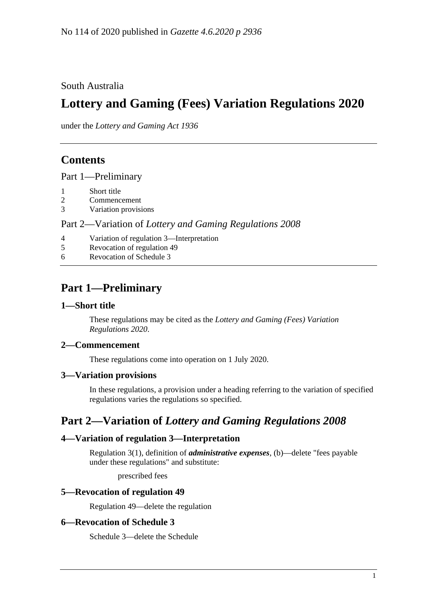South Australia

# **Lottery and Gaming (Fees) Variation Regulations 2020**

under the *Lottery and Gaming Act 1936*

### **Contents**

Part [1—Preliminary](#page-0-0)

- 1 [Short title](#page-0-1)
- 2 [Commencement](#page-0-2)
- 3 [Variation provisions](#page-0-3)

Part 2—Variation of *[Lottery and Gaming Regulations](#page-0-4) 2008*

- 4 [Variation of regulation 3—Interpretation](#page-0-5)
- 5 [Revocation of regulation](#page-0-6) 49
- 6 [Revocation of Schedule](#page-0-7) 3

## <span id="page-0-0"></span>**Part 1—Preliminary**

### <span id="page-0-1"></span>**1—Short title**

These regulations may be cited as the *Lottery and Gaming (Fees) Variation Regulations 2020*.

### <span id="page-0-2"></span>**2—Commencement**

These regulations come into operation on 1 July 2020.

### <span id="page-0-3"></span>**3—Variation provisions**

In these regulations, a provision under a heading referring to the variation of specified regulations varies the regulations so specified.

### <span id="page-0-4"></span>**Part 2—Variation of** *Lottery and Gaming Regulations 2008*

### <span id="page-0-5"></span>**4—Variation of regulation 3—Interpretation**

Regulation 3(1), definition of *administrative expenses*, (b)—delete "fees payable under these regulations" and substitute:

prescribed fees

### <span id="page-0-6"></span>**5—Revocation of regulation 49**

Regulation 49—delete the regulation

### <span id="page-0-7"></span>**6—Revocation of Schedule 3**

Schedule 3—delete the Schedule